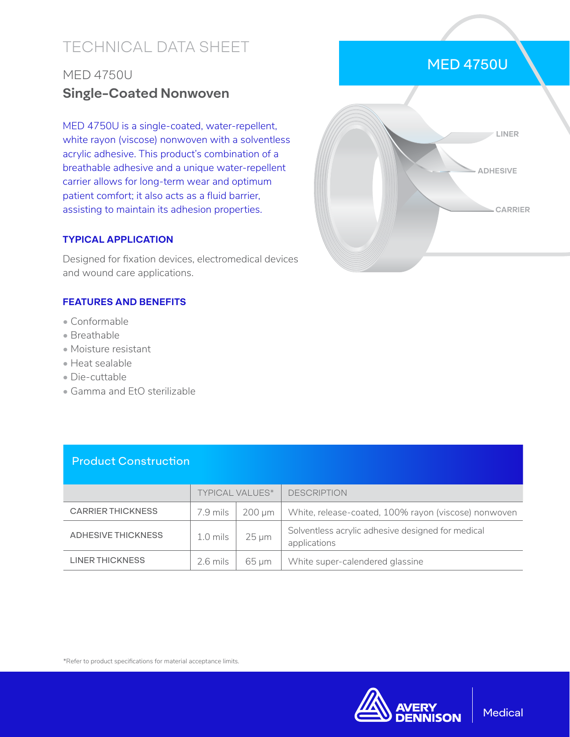# TECHNICAL DATA SHEET

## MED 4750U **Single-Coated Nonwoven**

MED 4750U is a single-coated, water-repellent, white rayon (viscose) nonwoven with a solventless acrylic adhesive. This product's combination of a breathable adhesive and a unique water-repellent carrier allows for long-term wear and optimum patient comfort; it also acts as a fluid barrier, assisting to maintain its adhesion properties.

### **TYPICAL APPLICATION**

Designed for fixation devices, electromedical devices and wound care applications.

### **FEATURES AND BENEFITS**

- Conformable
- Breathable
- Moisture resistant
- Heat sealable
- Die-cuttable
- Gamma and EtO sterilizable



MED 4750U



#### \*Refer to product specifications for material acceptance limits.